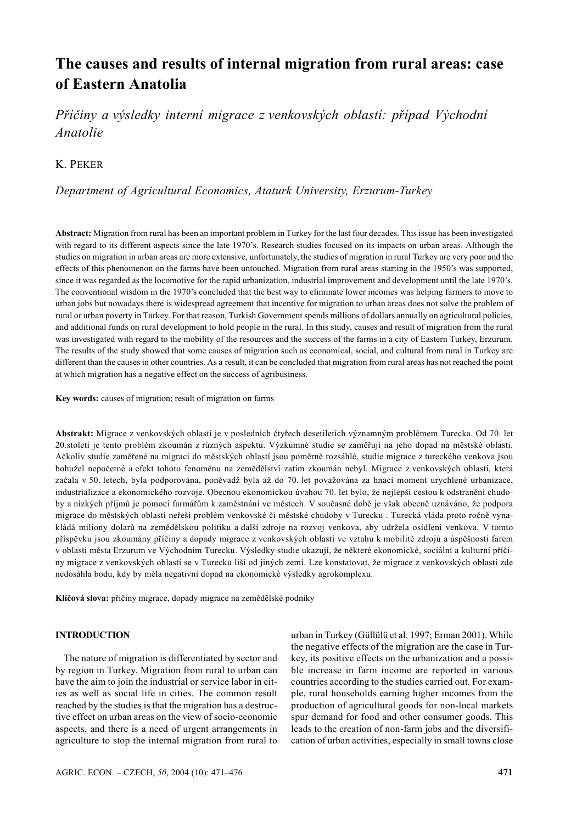# **The causes and results of internal migration from rural areas: case of Eastern Anatolia**

*Příčiny a výsledky interní migrace z venkovských oblastí: případ Východní Anatolie*

# K. PEKER

# *Department of Agricultural Economics, Ataturk University, Erzurum-Turkey*

**Abstract:** Migration from rural has been an important problem in Turkey for the last four decades. This issue has been investigated with regard to its different aspects since the late 1970's. Research studies focused on its impacts on urban areas. Although the studies on migration in urban areas are more extensive, unfortunately, the studies of migration in rural Turkey are very poor and the effects of this phenomenon on the farms have been untouched. Migration from rural areas starting in the 1950's was supported, since it was regarded as the locomotive for the rapid urbanization, industrial improvement and development until the late 1970's. The conventional wisdom in the 1970's concluded that the best way to eliminate lower incomes was helping farmers to move to urban jobs but nowadays there is widespread agreement that incentive for migration to urban areas does not solve the problem of rural or urban poverty in Turkey. For that reason, Turkish Government spends millions of dollars annually on agricultural policies, and additional funds on rural development to hold people in the rural. In this study, causes and result of migration from the rural was investigated with regard to the mobility of the resources and the success of the farms in a city of Eastern Turkey, Erzurum. The results of the study showed that some causes of migration such as economical, social, and cultural from rural in Turkey are different than the causes in other countries. As a result, it can be concluded that migration from rural areas has not reached the point at which migration has a negative effect on the success of agribusiness.

**Key words:** causes of migration; result of migration on farms

**Abstrakt:** Migrace z venkovských oblastí je v posledních čtyřech desetiletích významným problémem Turecka. Od 70. let 20.století je tento problém zkoumán z různých aspektů. Výzkumné studie se zaměřují na jeho dopad na městské oblasti. Ačkoliv studie zaměřené na migraci do městských oblastí jsou poměrně rozsáhlé, studie migrace z tureckého venkova jsou bohužel nepočetné a efekt tohoto fenoménu na zemědělství zatím zkoumán nebyl. Migrace z venkovských oblastí, která začala v 50. letech, byla podporována, poněvadž byla až do 70. let považována za hnací moment urychlené urbanizace, industrializace a ekonomického rozvoje. Obecnou ekonomickou úvahou 70. let bylo, že nejlepší cestou k odstranění chudoby a nízkých příjmů je pomoci farmářům k zaměstnání ve městech. V současné době je však obecně uznáváno, že podpora migrace do městských oblastí neřeší problém venkovské či městské chudoby v Turecku . Turecká vláda proto ročně vynakládá miliony dolarů na zemědělskou politiku a další zdroje na rozvoj venkova, aby udržela osídlení venkova. V tomto příspěvku jsou zkoumány příčiny a dopady migrace z venkovských oblastí ve vztahu k mobilitě zdrojů a úspěšnosti farem v oblasti města Erzurum ve Východním Turecku. Výsledky studie ukazují, že některé ekonomické, sociální a kulturní příčiny migrace z venkovských oblastí se v Turecku liší od jiných zemí. Lze konstatovat, že migrace z venkovských oblastí zde nedosáhla bodu, kdy by měla negativní dopad na ekonomické výsledky agrokomplexu.

**Klíčová slova:** příčiny migrace, dopady migrace na zemědělské podniky

#### **INTRODUCTION**

The nature of migration is differentiated by sector and by region in Turkey. Migration from rural to urban can have the aim to join the industrial or service labor in cities as well as social life in cities. The common result reached by the studies is that the migration has a destructive effect on urban areas on the view of socio-economic aspects, and there is a need of urgent arrangements in agriculture to stop the internal migration from rural to

urban in Turkey (Güllülü et al. 1997; Erman 2001). While the negative effects of the migration are the case in Turkey, its positive effects on the urbanization and a possible increase in farm income are reported in various countries according to the studies carried out. For example, rural households earning higher incomes from the production of agricultural goods for non-local markets spur demand for food and other consumer goods. This leads to the creation of non-farm jobs and the diversification of urban activities, especially in small towns close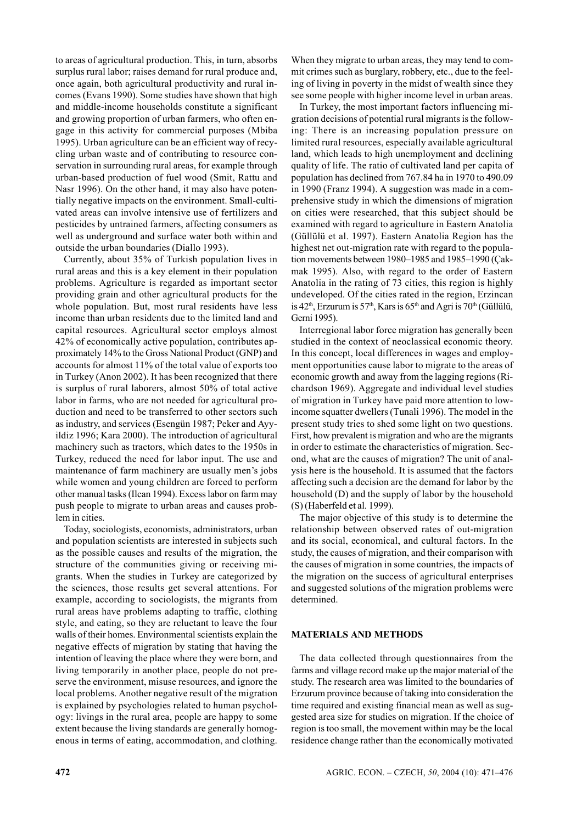to areas of agricultural production. This, in turn, absorbs surplus rural labor; raises demand for rural produce and, once again, both agricultural productivity and rural incomes (Evans 1990). Some studies have shown that high and middle-income households constitute a significant and growing proportion of urban farmers, who often engage in this activity for commercial purposes (Mbiba 1995). Urban agriculture can be an efficient way of recycling urban waste and of contributing to resource conservation in surrounding rural areas, for example through urban-based production of fuel wood (Smit, Rattu and Nasr 1996). On the other hand, it may also have potentially negative impacts on the environment. Small-cultivated areas can involve intensive use of fertilizers and pesticides by untrained farmers, affecting consumers as well as underground and surface water both within and outside the urban boundaries (Diallo 1993).

Currently, about 35% of Turkish population lives in rural areas and this is a key element in their population problems. Agriculture is regarded as important sector providing grain and other agricultural products for the whole population. But, most rural residents have less income than urban residents due to the limited land and capital resources. Agricultural sector employs almost 42% of economically active population, contributes approximately 14% to the Gross National Product (GNP) and accounts for almost 11% of the total value of exports too in Turkey (Anon 2002). It has been recognized that there is surplus of rural laborers, almost 50% of total active labor in farms, who are not needed for agricultural production and need to be transferred to other sectors such as industry, and services (Esengün 1987; Peker and Ayyildiz 1996; Kara 2000). The introduction of agricultural machinery such as tractors, which dates to the 1950s in Turkey, reduced the need for labor input. The use and maintenance of farm machinery are usually men's jobs while women and young children are forced to perform other manual tasks (Ilcan 1994). Excess labor on farm may push people to migrate to urban areas and causes problem in cities.

Today, sociologists, economists, administrators, urban and population scientists are interested in subjects such as the possible causes and results of the migration, the structure of the communities giving or receiving migrants. When the studies in Turkey are categorized by the sciences, those results get several attentions. For example, according to sociologists, the migrants from rural areas have problems adapting to traffic, clothing style, and eating, so they are reluctant to leave the four walls of their homes. Environmental scientists explain the negative effects of migration by stating that having the intention of leaving the place where they were born, and living temporarily in another place, people do not preserve the environment, misuse resources, and ignore the local problems. Another negative result of the migration is explained by psychologies related to human psychology: livings in the rural area, people are happy to some extent because the living standards are generally homogenous in terms of eating, accommodation, and clothing.

When they migrate to urban areas, they may tend to commit crimes such as burglary, robbery, etc., due to the feeling of living in poverty in the midst of wealth since they see some people with higher income level in urban areas.

In Turkey, the most important factors influencing migration decisions of potential rural migrants is the following: There is an increasing population pressure on limited rural resources, especially available agricultural land, which leads to high unemployment and declining quality of life. The ratio of cultivated land per capita of population has declined from 767.84 ha in 1970 to 490.09 in 1990 (Franz 1994). A suggestion was made in a comprehensive study in which the dimensions of migration on cities were researched, that this subject should be examined with regard to agriculture in Eastern Anatolia (Güllülü et al. 1997). Eastern Anatolia Region has the highest net out-migration rate with regard to the population movements between 1980–1985 and 1985–1990 (Çakmak 1995). Also, with regard to the order of Eastern Anatolia in the rating of 73 cities, this region is highly undeveloped. Of the cities rated in the region, Erzincan is  $42<sup>th</sup>$ , Erzurum is  $57<sup>th</sup>$ , Kars is  $65<sup>th</sup>$  and Agri is  $70<sup>th</sup>$  (Güllülü, Gerni 1995).

Interregional labor force migration has generally been studied in the context of neoclassical economic theory. In this concept, local differences in wages and employment opportunities cause labor to migrate to the areas of economic growth and away from the lagging regions (Richardson 1969). Aggregate and individual level studies of migration in Turkey have paid more attention to lowincome squatter dwellers (Tunali 1996). The model in the present study tries to shed some light on two questions. First, how prevalent is migration and who are the migrants in order to estimate the characteristics of migration. Second, what are the causes of migration? The unit of analysis here is the household. It is assumed that the factors affecting such a decision are the demand for labor by the household (D) and the supply of labor by the household (S) (Haberfeld et al. 1999).

The major objective of this study is to determine the relationship between observed rates of out-migration and its social, economical, and cultural factors. In the study, the causes of migration, and their comparison with the causes of migration in some countries, the impacts of the migration on the success of agricultural enterprises and suggested solutions of the migration problems were determined.

#### **MATERIALS AND METHODS**

The data collected through questionnaires from the farms and village record make up the major material of the study. The research area was limited to the boundaries of Erzurum province because of taking into consideration the time required and existing financial mean as well as suggested area size for studies on migration. If the choice of region is too small, the movement within may be the local residence change rather than the economically motivated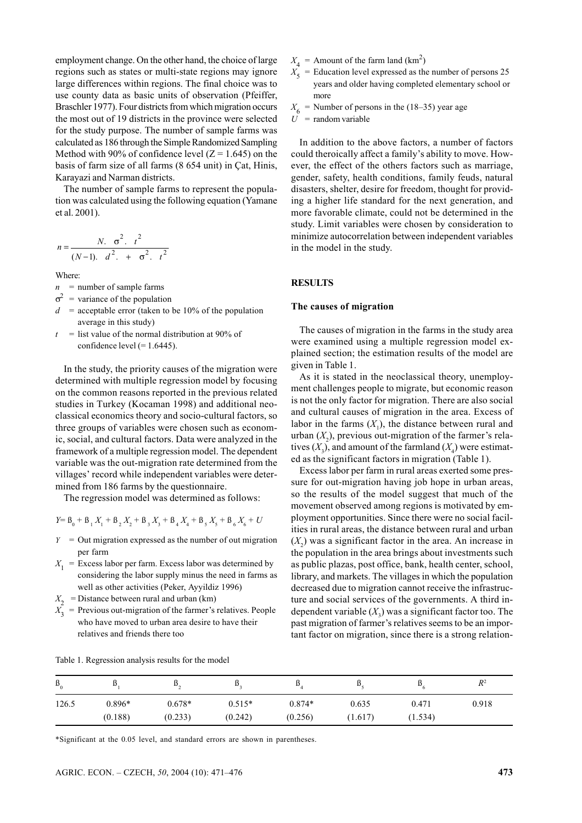employment change. On the other hand, the choice of large regions such as states or multi-state regions may ignore large differences within regions. The final choice was to use county data as basic units of observation (Pfeiffer, Braschler 1977). Four districts from which migration occurs the most out of 19 districts in the province were selected for the study purpose. The number of sample farms was calculated as 186 through the Simple Randomized Sampling Method with 90% of confidence level  $(Z = 1.645)$  on the basis of farm size of all farms (8 654 unit) in Çat, Hinis, Karayazi and Narman districts.

The number of sample farms to represent the population was calculated using the following equation (Yamane et al. 2001).

$$
n = \frac{N. \sigma^2. t^2}{(N-1). \ d^2. + \sigma^2. t^2}
$$

Where:

 $n =$  number of sample farms

- $\sigma^2$  = variance of the population
- $d =$  acceptable error (taken to be 10% of the population average in this study)
- $t =$  list value of the normal distribution at 90% of confidence level  $(= 1.6445)$ .

In the study, the priority causes of the migration were determined with multiple regression model by focusing on the common reasons reported in the previous related studies in Turkey (Kocaman 1998) and additional neoclassical economics theory and socio-cultural factors, so three groups of variables were chosen such as economic, social, and cultural factors. Data were analyzed in the framework of a multiple regression model. The dependent variable was the out-migration rate determined from the villages' record while independent variables were determined from 186 farms by the questionnaire.

The regression model was determined as follows:

$$
Y = B_0 + B_1 X_1 + B_2 X_2 + B_3 X_3 + B_4 X_4 + B_5 X_5 + B_6 X_6 + U
$$

- $Y =$  Out migration expressed as the number of out migration per farm
- $X_1$  = Excess labor per farm. Excess labor was determined by considering the labor supply minus the need in farms as well as other activities (Peker, Ayyildiz 1996)
- $X_2$  = Distance between rural and urban (km)
- $X_3$  = Previous out-migration of the farmer's relatives. People who have moved to urban area desire to have their relatives and friends there too
- $X_4$  = Amount of the farm land  $(km^2)$
- $X_5$  = Education level expressed as the number of persons 25 years and older having completed elementary school or more
- $X_6$  = Number of persons in the (18–35) year age
- $U =$ random variable

In addition to the above factors, a number of factors could theroically affect a family's ability to move. However, the effect of the others factors such as marriage, gender, safety, health conditions, family feuds, natural disasters, shelter, desire for freedom, thought for providing a higher life standard for the next generation, and more favorable climate, could not be determined in the study. Limit variables were chosen by consideration to minimize autocorrelation between independent variables in the model in the study.

### **RESULTS**

#### **The causes of migration**

The causes of migration in the farms in the study area were examined using a multiple regression model explained section; the estimation results of the model are given in Table 1.

As it is stated in the neoclassical theory, unemployment challenges people to migrate, but economic reason is not the only factor for migration. There are also social and cultural causes of migration in the area. Excess of labor in the farms  $(X_1)$ , the distance between rural and urban  $(X_2)$ , previous out-migration of the farmer's relatives  $(X_3)$ , and amount of the farmland  $(X_4)$  were estimated as the significant factors in migration (Table 1).

Excess labor per farm in rural areas exerted some pressure for out-migration having job hope in urban areas, so the results of the model suggest that much of the movement observed among regions is motivated by employment opportunities. Since there were no social facilities in rural areas, the distance between rural and urban  $(X_2)$  was a significant factor in the area. An increase in the population in the area brings about investments such as public plazas, post office, bank, health center, school, library, and markets. The villages in which the population decreased due to migration cannot receive the infrastructure and social services of the governments. A third independent variable  $(X_3)$  was a significant factor too. The past migration of farmer's relatives seems to be an important factor on migration, since there is a strong relation-

| $B_{0}$ | IJ       | $\mathbf{v}_{\alpha}$ | IJ       | IJ       | D.      | IJ      | $R^2$ |
|---------|----------|-----------------------|----------|----------|---------|---------|-------|
| 126.5   | $0.896*$ | $0.678*$              | $0.515*$ | $0.874*$ | 0.635   | 0.471   | 0.918 |
|         | (0.188)  | (0.233)               | (0.242)  | (0.256)  | (1.617) | (1.534) |       |

Table 1. Regression analysis results for the model

\*Significant at the 0.05 level, and standard errors are shown in parentheses.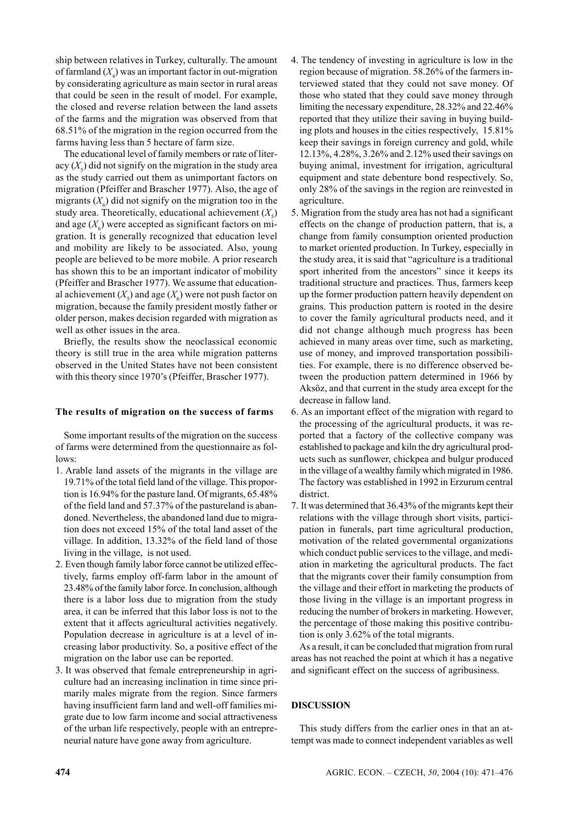ship between relatives in Turkey, culturally. The amount of farmland (*X*<sup>4</sup> ) was an important factor in out-migration by considerating agriculture as main sector in rural areas that could be seen in the result of model. For example, the closed and reverse relation between the land assets of the farms and the migration was observed from that 68.51% of the migration in the region occurred from the farms having less than 5 hectare of farm size.

The educational level of family members or rate of literacy  $(X<sub>5</sub>)$  did not signify on the migration in the study area as the study carried out them as unimportant factors on migration (Pfeiffer and Brascher 1977). Also, the age of migrants  $(X_6)$  did not signify on the migration too in the study area. Theoretically, educational achievement  $(X_5)$ and age  $(X_6)$  were accepted as significant factors on migration. It is generally recognized that education level and mobility are likely to be associated. Also, young people are believed to be more mobile. A prior research has shown this to be an important indicator of mobility (Pfeiffer and Brascher 1977). We assume that educational achievement  $(X_s)$  and age  $(X_6)$  were not push factor on migration, because the family president mostly father or older person, makes decision regarded with migration as well as other issues in the area.

Briefly, the results show the neoclassical economic theory is still true in the area while migration patterns observed in the United States have not been consistent with this theory since 1970's (Pfeiffer, Brascher 1977).

# **The results of migration on the success of farms**

Some important results of the migration on the success of farms were determined from the questionnaire as follows:

- 1. Arable land assets of the migrants in the village are 19.71% of the total field land of the village. This proportion is 16.94% for the pasture land. Of migrants, 65.48% of the field land and 57.37% of the pastureland is abandoned. Nevertheless, the abandoned land due to migration does not exceed 15% of the total land asset of the village. In addition, 13.32% of the field land of those living in the village, is not used.
- 2. Even though family labor force cannot be utilized effectively, farms employ off-farm labor in the amount of 23.48% of the family labor force. In conclusion, although there is a labor loss due to migration from the study area, it can be inferred that this labor loss is not to the extent that it affects agricultural activities negatively. Population decrease in agriculture is at a level of increasing labor productivity. So, a positive effect of the migration on the labor use can be reported.
- 3. It was observed that female entrepreneurship in agriculture had an increasing inclination in time since primarily males migrate from the region. Since farmers having insufficient farm land and well-off families migrate due to low farm income and social attractiveness of the urban life respectively, people with an entrepreneurial nature have gone away from agriculture.
- 4. The tendency of investing in agriculture is low in the region because of migration. 58.26% of the farmers interviewed stated that they could not save money. Of those who stated that they could save money through limiting the necessary expenditure, 28.32% and 22.46% reported that they utilize their saving in buying building plots and houses in the cities respectively, 15.81% keep their savings in foreign currency and gold, while 12.13%, 4.28%, 3.26% and 2.12% used their savings on buying animal, investment for irrigation, agricultural equipment and state debenture bond respectively. So, only 28% of the savings in the region are reinvested in agriculture.
- 5. Migration from the study area has not had a significant effects on the change of production pattern, that is, a change from family consumption oriented production to market oriented production. In Turkey, especially in the study area, it is said that "agriculture is a traditional sport inherited from the ancestors" since it keeps its traditional structure and practices. Thus, farmers keep up the former production pattern heavily dependent on grains. This production pattern is rooted in the desire to cover the family agricultural products need, and it did not change although much progress has been achieved in many areas over time, such as marketing, use of money, and improved transportation possibilities. For example, there is no difference observed between the production pattern determined in 1966 by Aksöz, and that current in the study area except for the decrease in fallow land.
- 6. As an important effect of the migration with regard to the processing of the agricultural products, it was reported that a factory of the collective company was established to package and kiln the dry agricultural products such as sunflower, chickpea and bulgur produced in the village of a wealthy family which migrated in 1986. The factory was established in 1992 in Erzurum central district.
- 7. It was determined that 36.43% of the migrants kept their relations with the village through short visits, participation in funerals, part time agricultural production, motivation of the related governmental organizations which conduct public services to the village, and mediation in marketing the agricultural products. The fact that the migrants cover their family consumption from the village and their effort in marketing the products of those living in the village is an important progress in reducing the number of brokers in marketing. However, the percentage of those making this positive contribution is only 3.62% of the total migrants.

As a result, it can be concluded that migration from rural areas has not reached the point at which it has a negative and significant effect on the success of agribusiness.

#### **DISCUSSION**

This study differs from the earlier ones in that an attempt was made to connect independent variables as well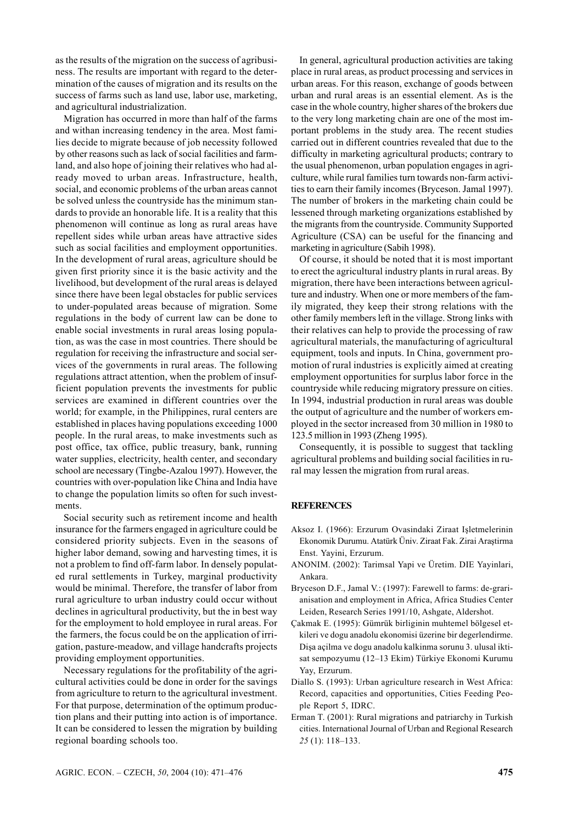as the results of the migration on the success of agribusiness. The results are important with regard to the determination of the causes of migration and its results on the success of farms such as land use, labor use, marketing, and agricultural industrialization.

Migration has occurred in more than half of the farms and withan increasing tendency in the area. Most families decide to migrate because of job necessity followed by other reasons such as lack of social facilities and farmland, and also hope of joining their relatives who had already moved to urban areas. Infrastructure, health, social, and economic problems of the urban areas cannot be solved unless the countryside has the minimum standards to provide an honorable life. It is a reality that this phenomenon will continue as long as rural areas have repellent sides while urban areas have attractive sides such as social facilities and employment opportunities. In the development of rural areas, agriculture should be given first priority since it is the basic activity and the livelihood, but development of the rural areas is delayed since there have been legal obstacles for public services to under-populated areas because of migration. Some regulations in the body of current law can be done to enable social investments in rural areas losing population, as was the case in most countries. There should be regulation for receiving the infrastructure and social services of the governments in rural areas. The following regulations attract attention, when the problem of insufficient population prevents the investments for public services are examined in different countries over the world; for example, in the Philippines, rural centers are established in places having populations exceeding 1000 people. In the rural areas, to make investments such as post office, tax office, public treasury, bank, running water supplies, electricity, health center, and secondary school are necessary (Tingbe-Azalou 1997). However, the countries with over-population like China and India have to change the population limits so often for such investments.

Social security such as retirement income and health insurance for the farmers engaged in agriculture could be considered priority subjects. Even in the seasons of higher labor demand, sowing and harvesting times, it is not a problem to find off-farm labor. In densely populated rural settlements in Turkey, marginal productivity would be minimal. Therefore, the transfer of labor from rural agriculture to urban industry could occur without declines in agricultural productivity, but the in best way for the employment to hold employee in rural areas. For the farmers, the focus could be on the application of irrigation, pasture-meadow, and village handcrafts projects providing employment opportunities.

Necessary regulations for the profitability of the agricultural activities could be done in order for the savings from agriculture to return to the agricultural investment. For that purpose, determination of the optimum production plans and their putting into action is of importance. It can be considered to lessen the migration by building regional boarding schools too.

In general, agricultural production activities are taking place in rural areas, as product processing and services in urban areas. For this reason, exchange of goods between urban and rural areas is an essential element. As is the case in the whole country, higher shares of the brokers due to the very long marketing chain are one of the most important problems in the study area. The recent studies carried out in different countries revealed that due to the difficulty in marketing agricultural products; contrary to the usual phenomenon, urban population engages in agriculture, while rural families turn towards non-farm activities to earn their family incomes (Bryceson. Jamal 1997). The number of brokers in the marketing chain could be lessened through marketing organizations established by the migrants from the countryside. Community Supported Agriculture (CSA) can be useful for the financing and marketing in agriculture (Sabih 1998).

Of course, it should be noted that it is most important to erect the agricultural industry plants in rural areas. By migration, there have been interactions between agriculture and industry. When one or more members of the family migrated, they keep their strong relations with the other family members left in the village. Strong links with their relatives can help to provide the processing of raw agricultural materials, the manufacturing of agricultural equipment, tools and inputs. In China, government promotion of rural industries is explicitly aimed at creating employment opportunities for surplus labor force in the countryside while reducing migratory pressure on cities. In 1994, industrial production in rural areas was double the output of agriculture and the number of workers employed in the sector increased from 30 million in 1980 to 123.5 million in 1993 (Zheng 1995).

Consequently, it is possible to suggest that tackling agricultural problems and building social facilities in rural may lessen the migration from rural areas.

## **REFERENCES**

- Aksoz I. (1966): Erzurum Ovasindaki Ziraat Ișletmelerinin Ekonomik Durumu. Atatürk Üniv. Ziraat Fak. Zirai Araștirma Enst. Yayini, Erzurum.
- ANONIM. (2002): Tarimsal Yapi ve Üretim. DIE Yayinlari, Ankara.
- Bryceson D.F., Jamal V.: (1997): Farewell to farms: de-grarianisation and employment in Africa, Africa Studies Center Leiden, Research Series 1991/10, Ashgate, Aldershot.
- Çakmak E. (1995): Gümrük birliginin muhtemel bölgesel etkileri ve dogu anadolu ekonomisi üzerine bir degerlendirme. Dișa açilma ve dogu anadolu kalkinma sorunu 3. ulusal iktisat sempozyumu (12–13 Ekim) Türkiye Ekonomi Kurumu Yay, Erzurum.
- Diallo S. (1993): Urban agriculture research in West Africa: Record, capacities and opportunities, Cities Feeding People Report 5, IDRC.
- Erman T. (2001): Rural migrations and patriarchy in Turkish cities. International Journal of Urban and Regional Research *25* (1): 118–133.